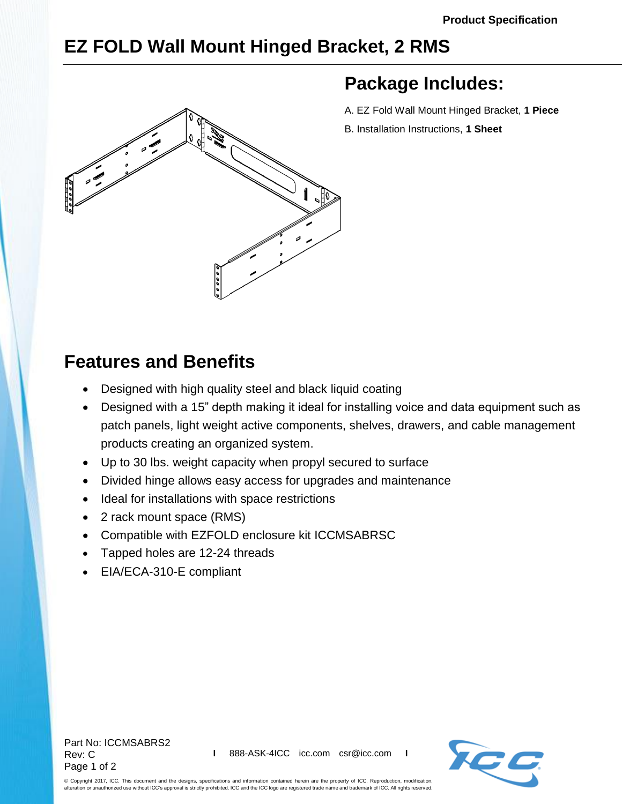## **EZ FOLD Wall Mount Hinged Bracket, 2 RMS**



## **Package Includes:**

- A. EZ Fold Wall Mount Hinged Bracket, **1 Piece**
- B. Installation Instructions, **1 Sheet**

## **Features and Benefits**

- Designed with high quality steel and black liquid coating
- Designed with a 15" depth making it ideal for installing voice and data equipment such as patch panels, light weight active components, shelves, drawers, and cable management products creating an organized system.
- Up to 30 lbs. weight capacity when propyl secured to surface
- Divided hinge allows easy access for upgrades and maintenance
- Ideal for installations with space restrictions
- 2 rack mount space (RMS)
- Compatible with EZFOLD enclosure kit [ICCMSABRSC](http://www.icc.com/p/409/bracket-wall-mount-ez-fold-enclosure-kit)
- Tapped holes are 12-24 threads
- EIA/ECA-310-E compliant

Part No: ICCMSABRS2 Rev: C Page 1 of 2



© Copyright 2017, ICC. This document and the designs, specifications and information contained herein are the property of ICC. Reproduction, modification, alteration or unauthorized use without ICC's approval is strictly prohibited. ICC and the ICC logo are registered trade name and trademark of ICC. All rights reserved.